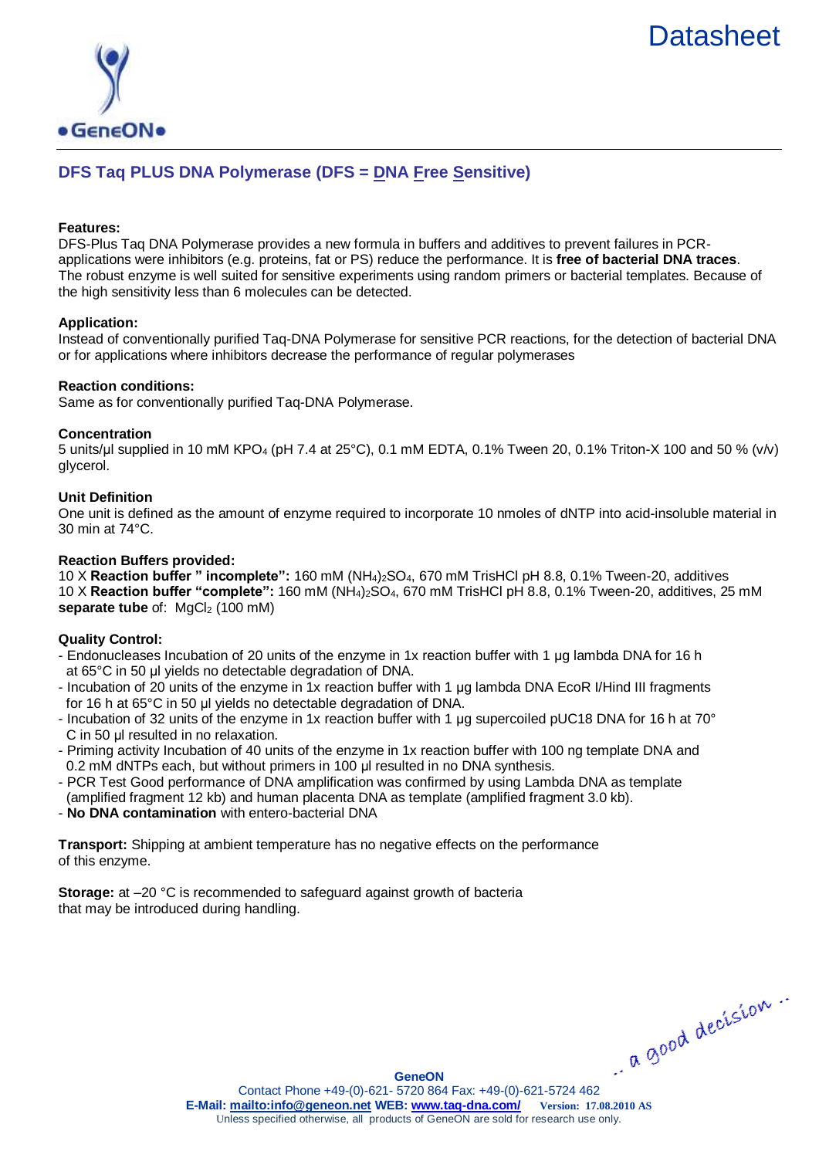# **[Datasheet](http://www.geneon.net/)**



# **DFS Taq PLUS DNA Polymerase (DFS = DNA Free Sensitive)**

# **Features:**

DFS-Plus Taq DNA Polymerase provides a new formula in buffers and additives to prevent failures in PCRapplications were inhibitors (e.g. proteins, fat or PS) reduce the performance. It is **free of bacterial DNA traces**. The robust enzyme is well suited for sensitive experiments using random primers or bacterial templates. Because of the high sensitivity less than 6 molecules can be detected.

# **Application:**

Instead of conventionally purified Taq-DNA Polymerase for sensitive PCR reactions, for the detection of bacterial DNA or for applications where inhibitors decrease the performance of regular polymerases

### **Reaction conditions:**

Same as for conventionally purified Taq-DNA Polymerase.

### **Concentration**

5 units/μl supplied in 10 mM KPO<sup>4</sup> (pH 7.4 at 25°C), 0.1 mM EDTA, 0.1% Tween 20, 0.1% Triton-X 100 and 50 % (v/v) glycerol.

# **Unit Definition**

One unit is defined as the amount of enzyme required to incorporate 10 nmoles of dNTP into acid-insoluble material in 30 min at 74°C.

# **Reaction Buffers provided:**

10 X **Reaction buffer " incomplete":** 160 mM (NH4)2SO4, 670 mM TrisHCl pH 8.8, 0.1% Tween-20, additives 10 X **Reaction buffer "complete":** 160 mM (NH4)2SO4, 670 mM TrisHCl pH 8.8, 0.1% Tween-20, additives, 25 mM **separate tube** of: MgCl<sub>2</sub> (100 mM)

# **Quality Control:**

- Endonucleases Incubation of 20 units of the enzyme in 1x reaction buffer with 1 μg lambda DNA for 16 h at 65°C in 50 μl yields no detectable degradation of DNA.
- Incubation of 20 units of the enzyme in 1x reaction buffer with 1 μg lambda DNA EcoR I/Hind III fragments for 16 h at 65°C in 50 μl yields no detectable degradation of DNA.
- Incubation of 32 units of the enzyme in 1x reaction buffer with 1 µg supercoiled pUC18 DNA for 16 h at 70° C in 50 µl resulted in no relaxation.
- Priming activity Incubation of 40 units of the enzyme in 1x reaction buffer with 100 ng template DNA and 0.2 mM dNTPs each, but without primers in 100 μl resulted in no DNA synthesis.
- PCR Test Good performance of DNA amplification was confirmed by using Lambda DNA as template (amplified fragment 12 kb) and human placenta DNA as template (amplified fragment 3.0 kb).
- **No DNA contamination** with entero-bacterial DNA

**Transport:** Shipping at ambient temperature has no negative effects on the performance of this enzyme.

**Storage:** at –20 °C is recommended to safeguard against growth of bacteria that may be introduced during handling.

a good decision.

**GeneON**

Contact Phone +49-(0)-621- 5720 864 Fax: +49-(0)-621-5724 462 **E-Mail:<mailto:info@geneon.net> WEB: [www.taq-dna.com/](http://www.taq-dna.com/) Version: 17.08.2010 AS** Unless specified otherwise, all products of GeneON are sold for research use only.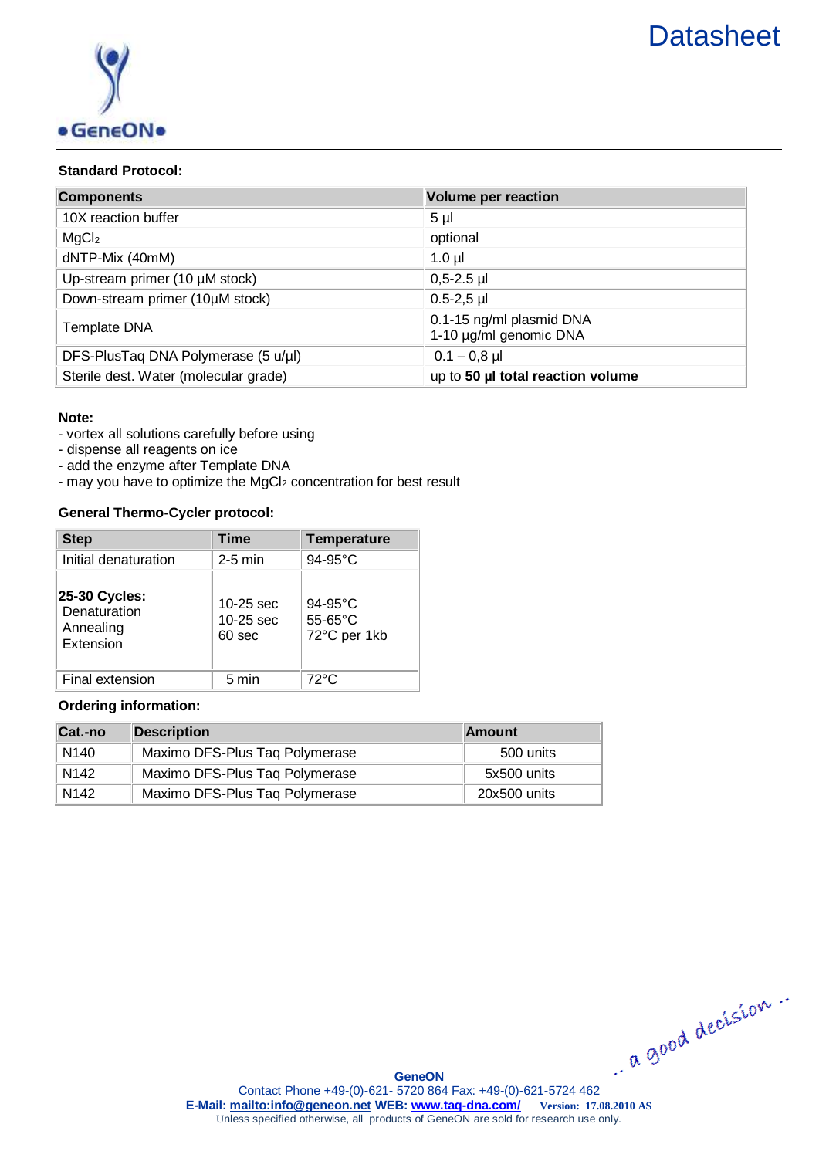

# **Standard Protocol:**

| <b>Components</b>                     | <b>Volume per reaction</b>                         |
|---------------------------------------|----------------------------------------------------|
| 10X reaction buffer                   | 5 <sub>µ</sub>                                     |
| MgCl <sub>2</sub>                     | optional                                           |
| dNTP-Mix (40mM)                       | $1.0 \mu$                                          |
| Up-stream primer $(10 \mu M$ stock)   | $0,5-2.5$ µl                                       |
| Down-stream primer (10µM stock)       | $0.5 - 2.5$ µl                                     |
| <b>Template DNA</b>                   | 0.1-15 ng/ml plasmid DNA<br>1-10 µg/ml genomic DNA |
| DFS-PlusTaq DNA Polymerase (5 u/µl)   | $0.1 - 0.8$ µl                                     |
| Sterile dest. Water (molecular grade) | up to 50 µl total reaction volume                  |

### **Note:**

- vortex all solutions carefully before using
- dispense all reagents on ice
- add the enzyme after Template DNA
- may you have to optimize the MgCl<sub>2</sub> concentration for best result

# **General Thermo-Cycler protocol:**

| <b>Step</b>                                             | <b>Time</b>                                 | <b>Temperature</b>                           |
|---------------------------------------------------------|---------------------------------------------|----------------------------------------------|
| Initial denaturation                                    | $2-5$ min                                   | 94-95°C                                      |
| 25-30 Cycles:<br>Denaturation<br>Annealing<br>Extension | 10-25 sec<br>10-25 sec<br>60 <sub>sec</sub> | $94-95^{\circ}$ C<br>55-65°C<br>72°C per 1kb |
| Final extension                                         | 5 min                                       | $72^{\circ}$ C                               |

# **Ordering information:**

| Cat.-no          | Description                    | <b>Amount</b> |
|------------------|--------------------------------|---------------|
| N <sub>140</sub> | Maximo DFS-Plus Taq Polymerase | 500 units     |
| N <sub>142</sub> | Maximo DFS-Plus Taq Polymerase | 5x500 units   |
| N <sub>142</sub> | Maximo DFS-Plus Taq Polymerase | 20x500 units  |

.. a good decision ..

**GeneON**

Contact Phone +49-(0)-621- 5720 864 Fax: +49-(0)-621-5724 462 **E-Mail:<mailto:info@geneon.net> WEB: [www.taq-dna.com/](http://www.taq-dna.com/) Version: 17.08.2010 AS** Unless specified otherwise, all products of GeneON are sold for research use only.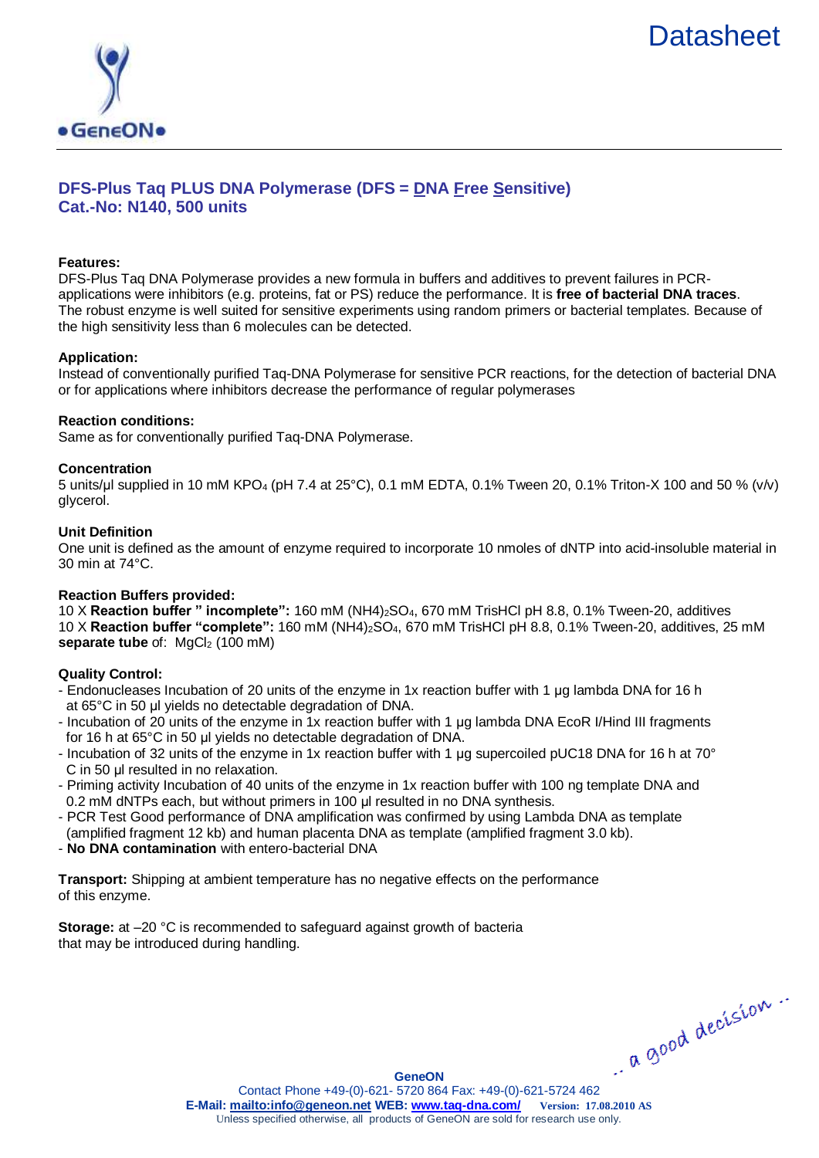



# **DFS-Plus Taq PLUS DNA Polymerase (DFS = DNA Free Sensitive) Cat.-No: N140, 500 units**

#### **Features:**

DFS-Plus Taq DNA Polymerase provides a new formula in buffers and additives to prevent failures in PCRapplications were inhibitors (e.g. proteins, fat or PS) reduce the performance. It is **free of bacterial DNA traces**. The robust enzyme is well suited for sensitive experiments using random primers or bacterial templates. Because of the high sensitivity less than 6 molecules can be detected.

### **Application:**

Instead of conventionally purified Taq-DNA Polymerase for sensitive PCR reactions, for the detection of bacterial DNA or for applications where inhibitors decrease the performance of regular polymerases

#### **Reaction conditions:**

Same as for conventionally purified Taq-DNA Polymerase.

### **Concentration**

5 units/μl supplied in 10 mM KPO<sup>4</sup> (pH 7.4 at 25°C), 0.1 mM EDTA, 0.1% Tween 20, 0.1% Triton-X 100 and 50 % (v/v) glycerol.

#### **Unit Definition**

One unit is defined as the amount of enzyme required to incorporate 10 nmoles of dNTP into acid-insoluble material in 30 min at 74°C.

### **Reaction Buffers provided:**

10 X **Reaction buffer " incomplete":** 160 mM (NH4)2SO4, 670 mM TrisHCl pH 8.8, 0.1% Tween-20, additives 10 X **Reaction buffer "complete":** 160 mM (NH4)2SO4, 670 mM TrisHCl pH 8.8, 0.1% Tween-20, additives, 25 mM **separate tube** of: MgCl<sub>2</sub> (100 mM)

### **Quality Control:**

- Endonucleases Incubation of 20 units of the enzyme in 1x reaction buffer with 1 μg lambda DNA for 16 h at 65°C in 50 μl yields no detectable degradation of DNA.
- Incubation of 20 units of the enzyme in 1x reaction buffer with 1 μg lambda DNA EcoR I/Hind III fragments for 16 h at 65°C in 50 μl yields no detectable degradation of DNA.
- Incubation of 32 units of the enzyme in 1x reaction buffer with 1 µg supercoiled pUC18 DNA for 16 h at 70° C in 50 μl resulted in no relaxation.
- Priming activity Incubation of 40 units of the enzyme in 1x reaction buffer with 100 ng template DNA and 0.2 mM dNTPs each, but without primers in 100 μl resulted in no DNA synthesis.
- PCR Test Good performance of DNA amplification was confirmed by using Lambda DNA as template (amplified fragment 12 kb) and human placenta DNA as template (amplified fragment 3.0 kb).
- **No DNA contamination** with entero-bacterial DNA

**Transport:** Shipping at ambient temperature has no negative effects on the performance of this enzyme.

**Storage:** at –20 °C is recommended to safeguard against growth of bacteria that may be introduced during handling.

a good decision.

**GeneON**

Contact Phone +49-(0)-621- 5720 864 Fax: +49-(0)-621-5724 462 **E-Mail:<mailto:info@geneon.net> WEB: [www.taq-dna.com/](http://www.taq-dna.com/) Version: 17.08.2010 AS** Unless specified otherwise, all products of GeneON are sold for research use only.